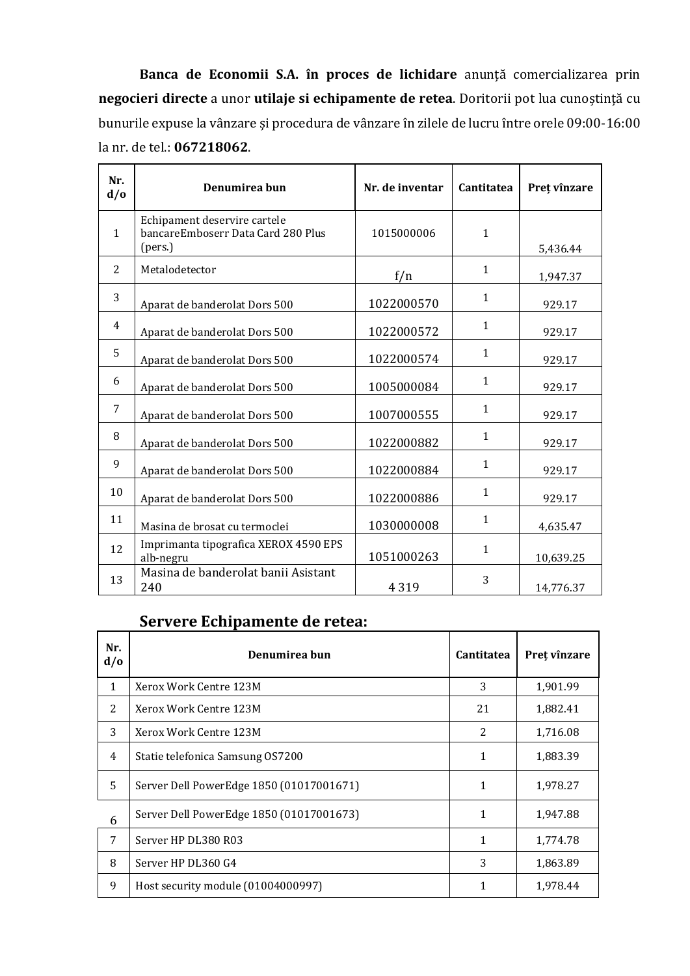**Banca de Economii S.A. în proces de lichidare** anunță comercializarea prin **negocieri directe** a unor **utilaje si echipamente de retea**. Doritorii pot lua cunoștință cu bunurile expuse la vânzare și procedura de vânzare în zilele de lucru între orele 09:00-16:00 la nr. de tel.: **067218062**.

| Nr.<br>d/0     | Denumirea bun                                                                 | Nr. de inventar | Cantitatea   | Preț vînzare |
|----------------|-------------------------------------------------------------------------------|-----------------|--------------|--------------|
| $\mathbf{1}$   | Echipament deservire cartele<br>bancareEmboserr Data Card 280 Plus<br>(pers.) | 1015000006      | $\mathbf{1}$ | 5,436.44     |
| 2              | Metalodetector                                                                | f/n             | $\mathbf{1}$ | 1,947.37     |
| 3              | Aparat de banderolat Dors 500                                                 | 1022000570      | $\mathbf{1}$ | 929.17       |
| $\overline{4}$ | Aparat de banderolat Dors 500                                                 | 1022000572      | $\mathbf{1}$ | 929.17       |
| 5              | Aparat de banderolat Dors 500                                                 | 1022000574      | $\mathbf{1}$ | 929.17       |
| 6              | Aparat de banderolat Dors 500                                                 | 1005000084      | 1            | 929.17       |
| 7              | Aparat de banderolat Dors 500                                                 | 1007000555      | 1            | 929.17       |
| 8              | Aparat de banderolat Dors 500                                                 | 1022000882      | $\mathbf{1}$ | 929.17       |
| 9              | Aparat de banderolat Dors 500                                                 | 1022000884      | $\mathbf{1}$ | 929.17       |
| 10             | Aparat de banderolat Dors 500                                                 | 1022000886      | 1            | 929.17       |
| 11             | Masina de brosat cu termoclei                                                 | 1030000008      | 1            | 4,635.47     |
| 12             | Imprimanta tipografica XEROX 4590 EPS<br>alb-negru                            | 1051000263      | $\mathbf{1}$ | 10,639.25    |
| 13             | Masina de banderolat banii Asistant<br>240                                    | 4 3 1 9         | 3            | 14,776.37    |

## **Servere Echipamente de retea:**

| Nr.<br>d/0   | Denumirea bun                            | Cantitatea     | Preț vînzare |
|--------------|------------------------------------------|----------------|--------------|
| $\mathbf{1}$ | Xerox Work Centre 123M                   | 3              | 1,901.99     |
| 2            | Xerox Work Centre 123M                   | 21             | 1,882.41     |
| 3            | Xerox Work Centre 123M                   | $\overline{2}$ | 1,716.08     |
| 4            | Statie telefonica Samsung OS7200         | 1              | 1,883.39     |
| 5            | Server Dell PowerEdge 1850 (01017001671) | 1              | 1,978.27     |
| 6            | Server Dell PowerEdge 1850 (01017001673) | 1              | 1,947.88     |
| 7            | Server HP DL380 R03                      | 1              | 1,774.78     |
| 8            | Server HP DL360 G4                       | 3              | 1,863.89     |
| 9            | Host security module (01004000997)       | 1              | 1,978.44     |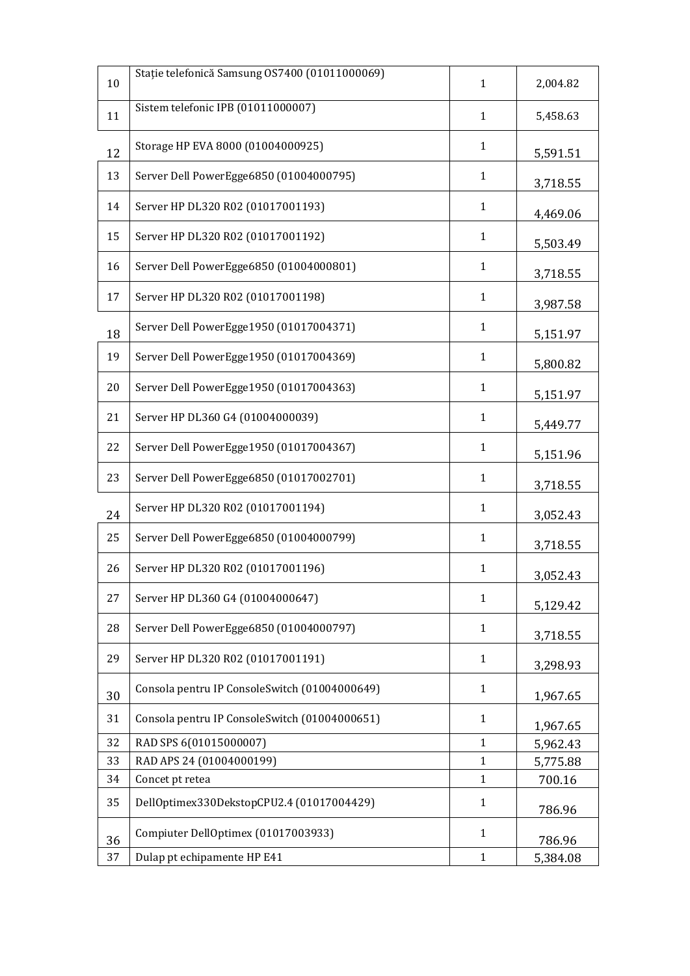|    | Stație telefonică Samsung OS7400 (01011000069) |              |          |
|----|------------------------------------------------|--------------|----------|
| 10 |                                                | $\mathbf{1}$ | 2,004.82 |
| 11 | Sistem telefonic IPB (01011000007)             | $\mathbf{1}$ | 5,458.63 |
|    |                                                |              |          |
| 12 | Storage HP EVA 8000 (01004000925)              | $\mathbf{1}$ | 5,591.51 |
| 13 | Server Dell PowerEgge6850 (01004000795)        | $\mathbf{1}$ | 3,718.55 |
| 14 | Server HP DL320 R02 (01017001193)              | $\mathbf{1}$ | 4,469.06 |
| 15 | Server HP DL320 R02 (01017001192)              | $\mathbf{1}$ | 5,503.49 |
| 16 | Server Dell PowerEgge6850 (01004000801)        | $\mathbf{1}$ | 3,718.55 |
| 17 | Server HP DL320 R02 (01017001198)              | $\mathbf{1}$ | 3,987.58 |
| 18 | Server Dell PowerEgge1950 (01017004371)        | $\mathbf{1}$ | 5,151.97 |
| 19 | Server Dell PowerEgge1950 (01017004369)        | $\mathbf{1}$ | 5,800.82 |
| 20 | Server Dell PowerEgge1950 (01017004363)        | $\mathbf{1}$ | 5,151.97 |
| 21 | Server HP DL360 G4 (01004000039)               | $\mathbf{1}$ | 5,449.77 |
| 22 | Server Dell PowerEgge1950 (01017004367)        | $\mathbf{1}$ | 5,151.96 |
| 23 | Server Dell PowerEgge6850 (01017002701)        | $\mathbf{1}$ | 3,718.55 |
| 24 | Server HP DL320 R02 (01017001194)              | $\mathbf{1}$ | 3,052.43 |
| 25 | Server Dell PowerEgge6850 (01004000799)        | $\mathbf{1}$ | 3,718.55 |
| 26 | Server HP DL320 R02 (01017001196)              | $\mathbf{1}$ | 3,052.43 |
| 27 | Server HP DL360 G4 (01004000647)               | $\mathbf{1}$ | 5,129.42 |
| 28 | Server Dell PowerEgge6850 (01004000797)        | $\mathbf{1}$ | 3,718.55 |
| 29 | Server HP DL320 R02 (01017001191)              | $\mathbf{1}$ | 3,298.93 |
| 30 | Consola pentru IP ConsoleSwitch (01004000649)  | $\mathbf{1}$ | 1,967.65 |
| 31 | Consola pentru IP ConsoleSwitch (01004000651)  | $\mathbf{1}$ | 1,967.65 |
| 32 | RAD SPS 6(01015000007)                         | $\mathbf{1}$ | 5,962.43 |
| 33 | RAD APS 24 (01004000199)                       | $\mathbf{1}$ | 5,775.88 |
| 34 | Concet pt retea                                | $\mathbf{1}$ | 700.16   |
| 35 | DellOptimex330DekstopCPU2.4 (01017004429)      | $\mathbf{1}$ | 786.96   |
| 36 | Compiuter DellOptimex (01017003933)            | $\mathbf{1}$ | 786.96   |
| 37 | Dulap pt echipamente HP E41                    | $\mathbf{1}$ | 5,384.08 |